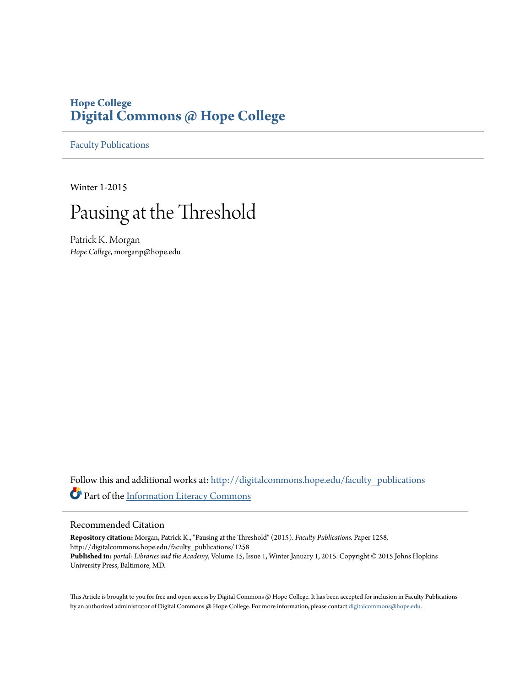# **Hope College [Digital Commons @ Hope College](http://digitalcommons.hope.edu?utm_source=digitalcommons.hope.edu%2Ffaculty_publications%2F1258&utm_medium=PDF&utm_campaign=PDFCoverPages)**

[Faculty Publications](http://digitalcommons.hope.edu/faculty_publications?utm_source=digitalcommons.hope.edu%2Ffaculty_publications%2F1258&utm_medium=PDF&utm_campaign=PDFCoverPages)

Winter 1-2015

# Pausing at the Threshold

Patrick K. Morgan *Hope College*, morganp@hope.edu

Follow this and additional works at: [http://digitalcommons.hope.edu/faculty\\_publications](http://digitalcommons.hope.edu/faculty_publications?utm_source=digitalcommons.hope.edu%2Ffaculty_publications%2F1258&utm_medium=PDF&utm_campaign=PDFCoverPages) Part of the [Information Literacy Commons](http://network.bepress.com/hgg/discipline/1243?utm_source=digitalcommons.hope.edu%2Ffaculty_publications%2F1258&utm_medium=PDF&utm_campaign=PDFCoverPages)

# Recommended Citation

**Repository citation:** Morgan, Patrick K., "Pausing at the Threshold" (2015). *Faculty Publications.* Paper 1258. http://digitalcommons.hope.edu/faculty\_publications/1258 **Published in:** *portal: Libraries and the Academy*, Volume 15, Issue 1, Winter January 1, 2015. Copyright © 2015 Johns Hopkins University Press, Baltimore, MD.

This Article is brought to you for free and open access by Digital Commons @ Hope College. It has been accepted for inclusion in Faculty Publications by an authorized administrator of Digital Commons @ Hope College. For more information, please contact [digitalcommons@hope.edu](mailto:digitalcommons@hope.edu).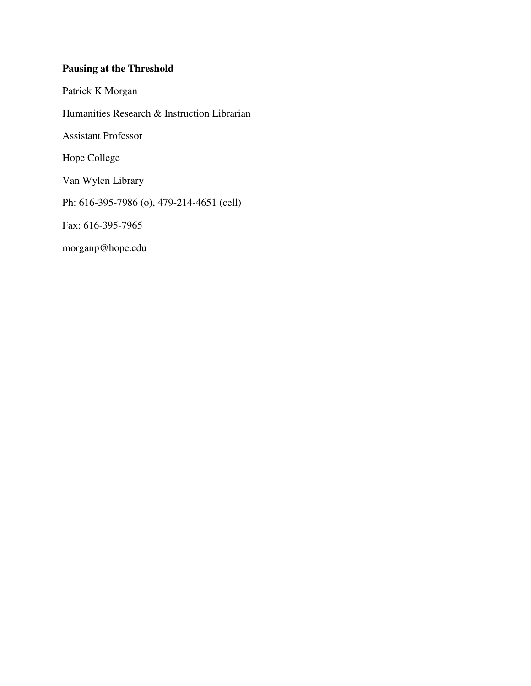# **Pausing at the Threshold**

Patrick K Morgan

Humanities Research & Instruction Librarian

Assistant Professor

Hope College

Van Wylen Library

Ph: 616-395-7986 (o), 479-214-4651 (cell)

Fax: 616-395-7965

morganp@hope.edu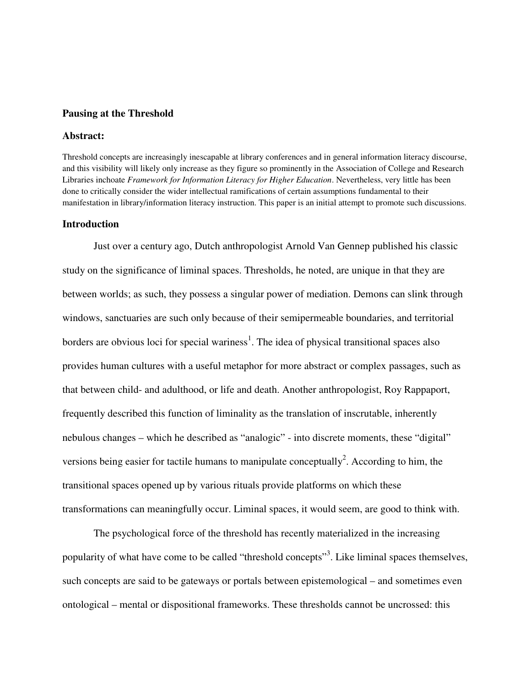# **Pausing at the Threshold**

# **Abstract:**

Threshold concepts are increasingly inescapable at library conferences and in general information literacy discourse, and this visibility will likely only increase as they figure so prominently in the Association of College and Research Libraries inchoate *Framework for Information Literacy for Higher Education*. Nevertheless, very little has been done to critically consider the wider intellectual ramifications of certain assumptions fundamental to their manifestation in library/information literacy instruction. This paper is an initial attempt to promote such discussions.

# **Introduction**

Just over a century ago, Dutch anthropologist Arnold Van Gennep published his classic study on the significance of liminal spaces. Thresholds, he noted, are unique in that they are between worlds; as such, they possess a singular power of mediation. Demons can slink through windows, sanctuaries are such only because of their semipermeable boundaries, and territorial borders are obvious loci for special wariness<sup>1</sup>. The idea of physical transitional spaces also provides human cultures with a useful metaphor for more abstract or complex passages, such as that between child- and adulthood, or life and death. Another anthropologist, Roy Rappaport, frequently described this function of liminality as the translation of inscrutable, inherently nebulous changes – which he described as "analogic" - into discrete moments, these "digital" versions being easier for tactile humans to manipulate conceptually<sup>2</sup>. According to him, the transitional spaces opened up by various rituals provide platforms on which these transformations can meaningfully occur. Liminal spaces, it would seem, are good to think with.

The psychological force of the threshold has recently materialized in the increasing popularity of what have come to be called "threshold concepts"<sup>3</sup>. Like liminal spaces themselves, such concepts are said to be gateways or portals between epistemological – and sometimes even ontological – mental or dispositional frameworks. These thresholds cannot be uncrossed: this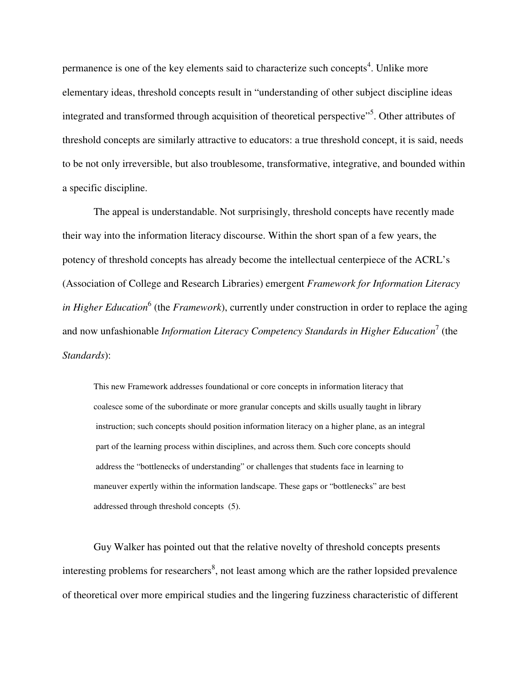permanence is one of the key elements said to characterize such concepts<sup>4</sup>. Unlike more elementary ideas, threshold concepts result in "understanding of other subject discipline ideas integrated and transformed through acquisition of theoretical perspective"<sup>5</sup>. Other attributes of threshold concepts are similarly attractive to educators: a true threshold concept, it is said, needs to be not only irreversible, but also troublesome, transformative, integrative, and bounded within a specific discipline.

The appeal is understandable. Not surprisingly, threshold concepts have recently made their way into the information literacy discourse. Within the short span of a few years, the potency of threshold concepts has already become the intellectual centerpiece of the ACRL's (Association of College and Research Libraries) emergent *Framework for Information Literacy in Higher Education*<sup>6</sup> (the *Framework*), currently under construction in order to replace the aging and now unfashionable *Information Literacy Competency Standards in Higher Education*<sup>7</sup> (the *Standards*):

This new Framework addresses foundational or core concepts in information literacy that coalesce some of the subordinate or more granular concepts and skills usually taught in library instruction; such concepts should position information literacy on a higher plane, as an integral part of the learning process within disciplines, and across them. Such core concepts should address the "bottlenecks of understanding" or challenges that students face in learning to maneuver expertly within the information landscape. These gaps or "bottlenecks" are best addressed through threshold concepts (5).

Guy Walker has pointed out that the relative novelty of threshold concepts presents interesting problems for researchers<sup>8</sup>, not least among which are the rather lopsided prevalence of theoretical over more empirical studies and the lingering fuzziness characteristic of different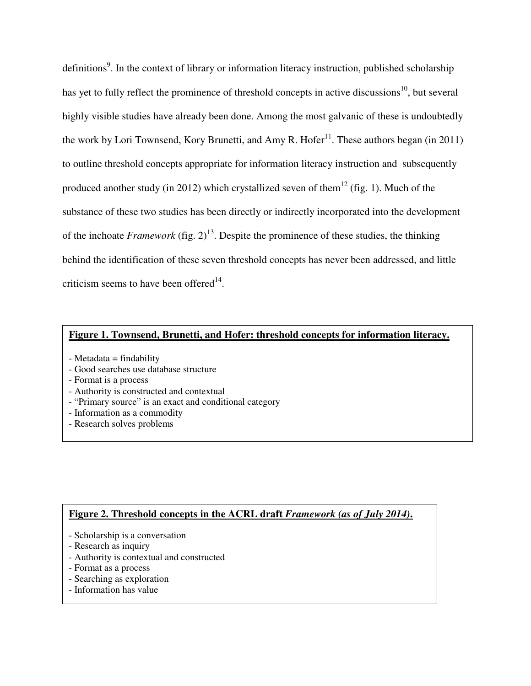definitions<sup>9</sup>. In the context of library or information literacy instruction, published scholarship has yet to fully reflect the prominence of threshold concepts in active discussions<sup>10</sup>, but several highly visible studies have already been done. Among the most galvanic of these is undoubtedly the work by Lori Townsend, Kory Brunetti, and Amy R. Hofer<sup>11</sup>. These authors began (in 2011) to outline threshold concepts appropriate for information literacy instruction and subsequently produced another study (in 2012) which crystallized seven of them<sup>12</sup> (fig. 1). Much of the substance of these two studies has been directly or indirectly incorporated into the development of the inchoate *Framework* (fig.  $2)^{13}$ . Despite the prominence of these studies, the thinking behind the identification of these seven threshold concepts has never been addressed, and little criticism seems to have been offered $14$ .

# **Figure 1. Townsend, Brunetti, and Hofer: threshold concepts for information literacy.**

- Metadata = findability
- Good searches use database structure
- Format is a process
- Authority is constructed and contextual
- "Primary source" is an exact and conditional category
- Information as a commodity
- Research solves problems

# **Figure 2. Threshold concepts in the ACRL draft** *Framework (as of July 2014)***.**

- Scholarship is a conversation
- Research as inquiry
- Authority is contextual and constructed
- Format as a process
- Searching as exploration
- Information has value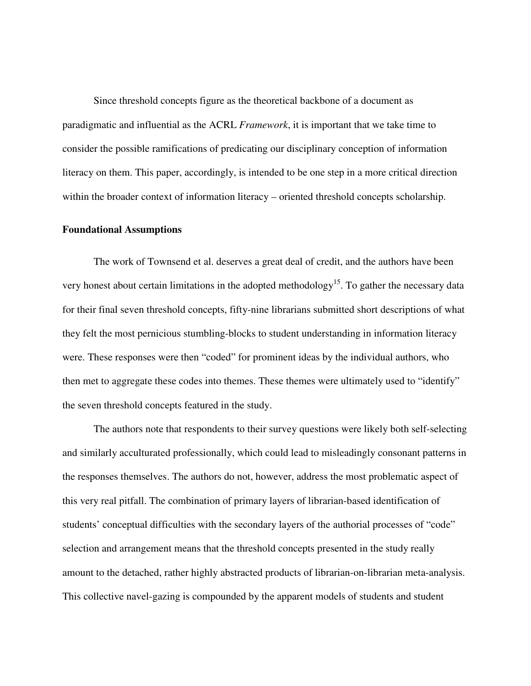Since threshold concepts figure as the theoretical backbone of a document as paradigmatic and influential as the ACRL *Framework*, it is important that we take time to consider the possible ramifications of predicating our disciplinary conception of information literacy on them. This paper, accordingly, is intended to be one step in a more critical direction within the broader context of information literacy – oriented threshold concepts scholarship.

# **Foundational Assumptions**

The work of Townsend et al. deserves a great deal of credit, and the authors have been very honest about certain limitations in the adopted methodology<sup>15</sup>. To gather the necessary data for their final seven threshold concepts, fifty-nine librarians submitted short descriptions of what they felt the most pernicious stumbling-blocks to student understanding in information literacy were. These responses were then "coded" for prominent ideas by the individual authors, who then met to aggregate these codes into themes. These themes were ultimately used to "identify" the seven threshold concepts featured in the study.

The authors note that respondents to their survey questions were likely both self-selecting and similarly acculturated professionally, which could lead to misleadingly consonant patterns in the responses themselves. The authors do not, however, address the most problematic aspect of this very real pitfall. The combination of primary layers of librarian-based identification of students' conceptual difficulties with the secondary layers of the authorial processes of "code" selection and arrangement means that the threshold concepts presented in the study really amount to the detached, rather highly abstracted products of librarian-on-librarian meta-analysis. This collective navel-gazing is compounded by the apparent models of students and student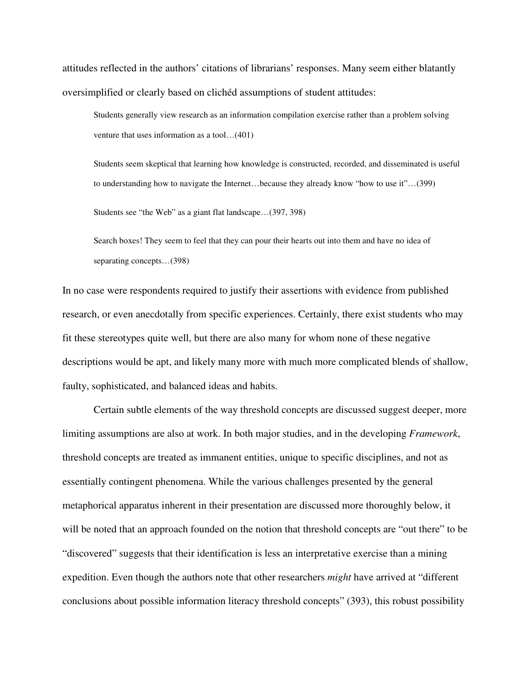attitudes reflected in the authors' citations of librarians' responses. Many seem either blatantly oversimplified or clearly based on clichéd assumptions of student attitudes:

Students generally view research as an information compilation exercise rather than a problem solving venture that uses information as a tool…(401)

Students seem skeptical that learning how knowledge is constructed, recorded, and disseminated is useful to understanding how to navigate the Internet…because they already know "how to use it"…(399)

Students see "the Web" as a giant flat landscape…(397, 398)

Search boxes! They seem to feel that they can pour their hearts out into them and have no idea of separating concepts…(398)

In no case were respondents required to justify their assertions with evidence from published research, or even anecdotally from specific experiences. Certainly, there exist students who may fit these stereotypes quite well, but there are also many for whom none of these negative descriptions would be apt, and likely many more with much more complicated blends of shallow, faulty, sophisticated, and balanced ideas and habits.

Certain subtle elements of the way threshold concepts are discussed suggest deeper, more limiting assumptions are also at work. In both major studies, and in the developing *Framework*, threshold concepts are treated as immanent entities, unique to specific disciplines, and not as essentially contingent phenomena. While the various challenges presented by the general metaphorical apparatus inherent in their presentation are discussed more thoroughly below, it will be noted that an approach founded on the notion that threshold concepts are "out there" to be "discovered" suggests that their identification is less an interpretative exercise than a mining expedition. Even though the authors note that other researchers *might* have arrived at "different conclusions about possible information literacy threshold concepts" (393), this robust possibility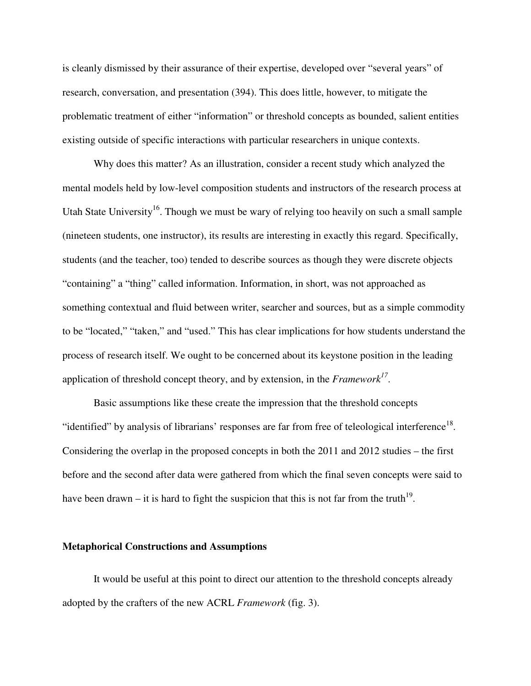is cleanly dismissed by their assurance of their expertise, developed over "several years" of research, conversation, and presentation (394). This does little, however, to mitigate the problematic treatment of either "information" or threshold concepts as bounded, salient entities existing outside of specific interactions with particular researchers in unique contexts.

Why does this matter? As an illustration, consider a recent study which analyzed the mental models held by low-level composition students and instructors of the research process at Utah State University<sup>16</sup>. Though we must be wary of relying too heavily on such a small sample (nineteen students, one instructor), its results are interesting in exactly this regard. Specifically, students (and the teacher, too) tended to describe sources as though they were discrete objects "containing" a "thing" called information. Information, in short, was not approached as something contextual and fluid between writer, searcher and sources, but as a simple commodity to be "located," "taken," and "used." This has clear implications for how students understand the process of research itself. We ought to be concerned about its keystone position in the leading application of threshold concept theory, and by extension, in the *Framework<sup>17</sup>* .

Basic assumptions like these create the impression that the threshold concepts "identified" by analysis of librarians' responses are far from free of teleological interference $^{18}$ . Considering the overlap in the proposed concepts in both the 2011 and 2012 studies – the first before and the second after data were gathered from which the final seven concepts were said to have been drawn – it is hard to fight the suspicion that this is not far from the truth<sup>19</sup>.

#### **Metaphorical Constructions and Assumptions**

It would be useful at this point to direct our attention to the threshold concepts already adopted by the crafters of the new ACRL *Framework* (fig. 3).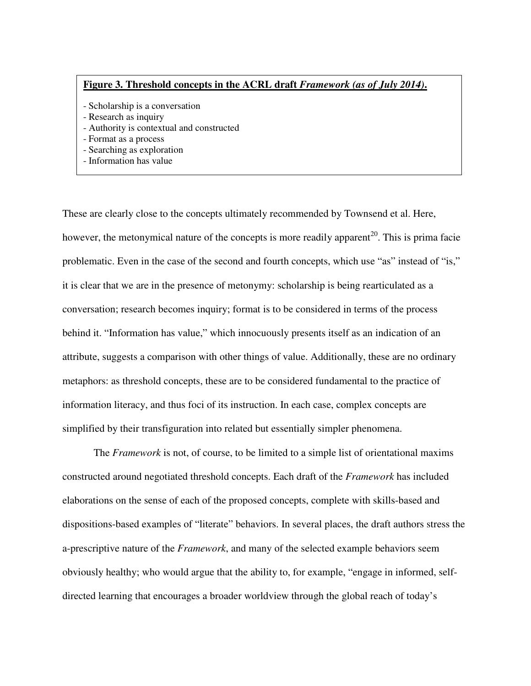## **Figure 3. Threshold concepts in the ACRL draft** *Framework (as of July 2014)***.**

- Scholarship is a conversation
- Research as inquiry
- Authority is contextual and constructed
- Format as a process
- Searching as exploration
- Information has value

These are clearly close to the concepts ultimately recommended by Townsend et al. Here, however, the metonymical nature of the concepts is more readily apparent<sup>20</sup>. This is prima facie problematic. Even in the case of the second and fourth concepts, which use "as" instead of "is," it is clear that we are in the presence of metonymy: scholarship is being rearticulated as a conversation; research becomes inquiry; format is to be considered in terms of the process behind it. "Information has value," which innocuously presents itself as an indication of an attribute, suggests a comparison with other things of value. Additionally, these are no ordinary metaphors: as threshold concepts, these are to be considered fundamental to the practice of information literacy, and thus foci of its instruction. In each case, complex concepts are simplified by their transfiguration into related but essentially simpler phenomena.

The *Framework* is not, of course, to be limited to a simple list of orientational maxims constructed around negotiated threshold concepts. Each draft of the *Framework* has included elaborations on the sense of each of the proposed concepts, complete with skills-based and dispositions-based examples of "literate" behaviors. In several places, the draft authors stress the a-prescriptive nature of the *Framework*, and many of the selected example behaviors seem obviously healthy; who would argue that the ability to, for example, "engage in informed, selfdirected learning that encourages a broader worldview through the global reach of today's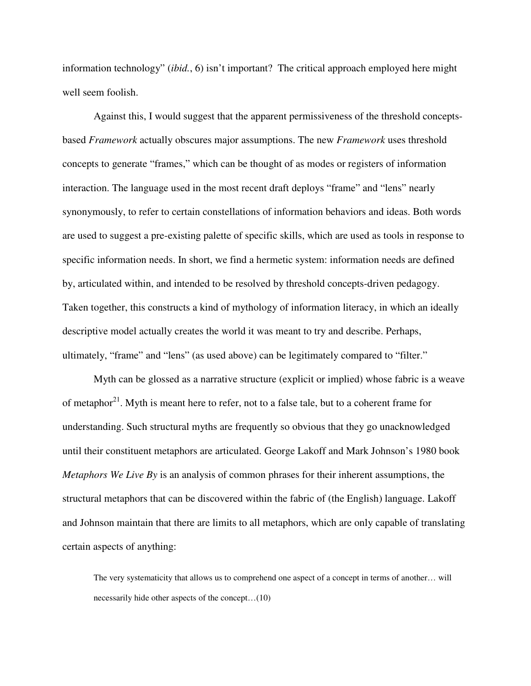information technology" (*ibid.*, 6) isn't important? The critical approach employed here might well seem foolish.

Against this, I would suggest that the apparent permissiveness of the threshold conceptsbased *Framework* actually obscures major assumptions. The new *Framework* uses threshold concepts to generate "frames," which can be thought of as modes or registers of information interaction. The language used in the most recent draft deploys "frame" and "lens" nearly synonymously, to refer to certain constellations of information behaviors and ideas. Both words are used to suggest a pre-existing palette of specific skills, which are used as tools in response to specific information needs. In short, we find a hermetic system: information needs are defined by, articulated within, and intended to be resolved by threshold concepts-driven pedagogy. Taken together, this constructs a kind of mythology of information literacy, in which an ideally descriptive model actually creates the world it was meant to try and describe. Perhaps, ultimately, "frame" and "lens" (as used above) can be legitimately compared to "filter."

Myth can be glossed as a narrative structure (explicit or implied) whose fabric is a weave of metaphor<sup>21</sup>. Myth is meant here to refer, not to a false tale, but to a coherent frame for understanding. Such structural myths are frequently so obvious that they go unacknowledged until their constituent metaphors are articulated. George Lakoff and Mark Johnson's 1980 book *Metaphors We Live By* is an analysis of common phrases for their inherent assumptions, the structural metaphors that can be discovered within the fabric of (the English) language. Lakoff and Johnson maintain that there are limits to all metaphors, which are only capable of translating certain aspects of anything:

The very systematicity that allows us to comprehend one aspect of a concept in terms of another… will necessarily hide other aspects of the concept…(10)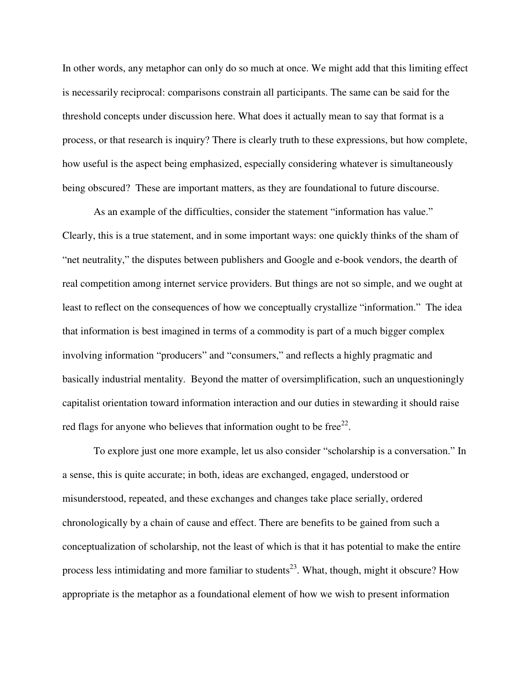In other words, any metaphor can only do so much at once. We might add that this limiting effect is necessarily reciprocal: comparisons constrain all participants. The same can be said for the threshold concepts under discussion here. What does it actually mean to say that format is a process, or that research is inquiry? There is clearly truth to these expressions, but how complete, how useful is the aspect being emphasized, especially considering whatever is simultaneously being obscured? These are important matters, as they are foundational to future discourse.

As an example of the difficulties, consider the statement "information has value." Clearly, this is a true statement, and in some important ways: one quickly thinks of the sham of "net neutrality," the disputes between publishers and Google and e-book vendors, the dearth of real competition among internet service providers. But things are not so simple, and we ought at least to reflect on the consequences of how we conceptually crystallize "information." The idea that information is best imagined in terms of a commodity is part of a much bigger complex involving information "producers" and "consumers," and reflects a highly pragmatic and basically industrial mentality. Beyond the matter of oversimplification, such an unquestioningly capitalist orientation toward information interaction and our duties in stewarding it should raise red flags for anyone who believes that information ought to be free $^{22}$ .

To explore just one more example, let us also consider "scholarship is a conversation." In a sense, this is quite accurate; in both, ideas are exchanged, engaged, understood or misunderstood, repeated, and these exchanges and changes take place serially, ordered chronologically by a chain of cause and effect. There are benefits to be gained from such a conceptualization of scholarship, not the least of which is that it has potential to make the entire process less intimidating and more familiar to students<sup>23</sup>. What, though, might it obscure? How appropriate is the metaphor as a foundational element of how we wish to present information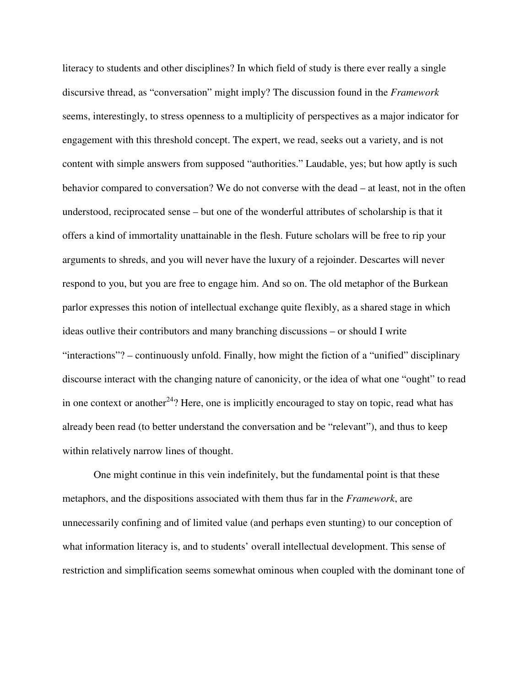literacy to students and other disciplines? In which field of study is there ever really a single discursive thread, as "conversation" might imply? The discussion found in the *Framework* seems, interestingly, to stress openness to a multiplicity of perspectives as a major indicator for engagement with this threshold concept. The expert, we read, seeks out a variety, and is not content with simple answers from supposed "authorities." Laudable, yes; but how aptly is such behavior compared to conversation? We do not converse with the dead – at least, not in the often understood, reciprocated sense – but one of the wonderful attributes of scholarship is that it offers a kind of immortality unattainable in the flesh. Future scholars will be free to rip your arguments to shreds, and you will never have the luxury of a rejoinder. Descartes will never respond to you, but you are free to engage him. And so on. The old metaphor of the Burkean parlor expresses this notion of intellectual exchange quite flexibly, as a shared stage in which ideas outlive their contributors and many branching discussions – or should I write "interactions"? – continuously unfold. Finally, how might the fiction of a "unified" disciplinary discourse interact with the changing nature of canonicity, or the idea of what one "ought" to read in one context or another<sup>24</sup>? Here, one is implicitly encouraged to stay on topic, read what has already been read (to better understand the conversation and be "relevant"), and thus to keep within relatively narrow lines of thought.

One might continue in this vein indefinitely, but the fundamental point is that these metaphors, and the dispositions associated with them thus far in the *Framework*, are unnecessarily confining and of limited value (and perhaps even stunting) to our conception of what information literacy is, and to students' overall intellectual development. This sense of restriction and simplification seems somewhat ominous when coupled with the dominant tone of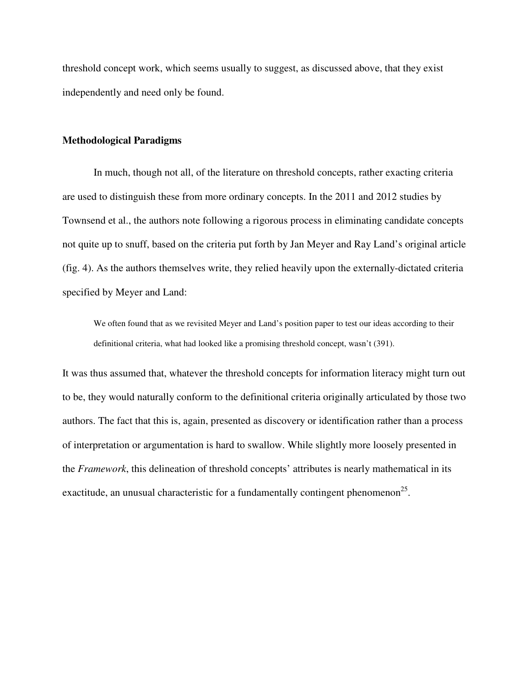threshold concept work, which seems usually to suggest, as discussed above, that they exist independently and need only be found.

# **Methodological Paradigms**

In much, though not all, of the literature on threshold concepts, rather exacting criteria are used to distinguish these from more ordinary concepts. In the 2011 and 2012 studies by Townsend et al., the authors note following a rigorous process in eliminating candidate concepts not quite up to snuff, based on the criteria put forth by Jan Meyer and Ray Land's original article (fig. 4). As the authors themselves write, they relied heavily upon the externally-dictated criteria specified by Meyer and Land:

We often found that as we revisited Meyer and Land's position paper to test our ideas according to their definitional criteria, what had looked like a promising threshold concept, wasn't (391).

It was thus assumed that, whatever the threshold concepts for information literacy might turn out to be, they would naturally conform to the definitional criteria originally articulated by those two authors. The fact that this is, again, presented as discovery or identification rather than a process of interpretation or argumentation is hard to swallow. While slightly more loosely presented in the *Framework*, this delineation of threshold concepts' attributes is nearly mathematical in its exactitude, an unusual characteristic for a fundamentally contingent phenomenon<sup>25</sup>.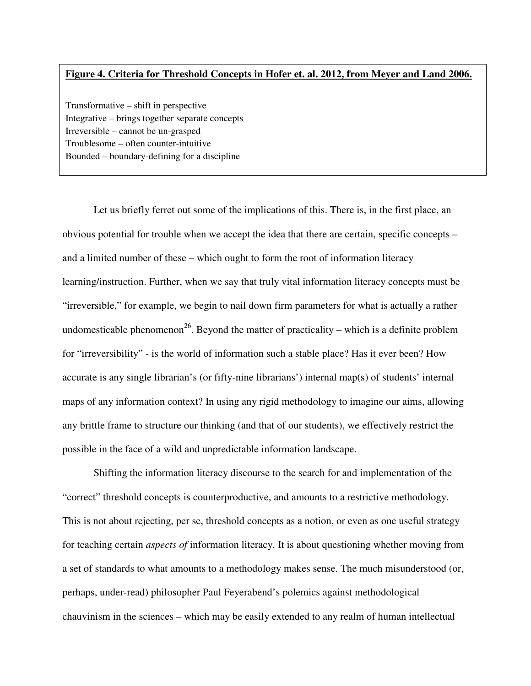# **Figure 4. Criteria for Threshold Concepts in Hofer et. al. 2012, from Meyer and Land 2006.**

Transformative – shift in perspective Integrative – brings together separate concepts Irreversible – cannot be un-grasped Troublesome – often counter-intuitive Bounded – boundary-defining for a discipline

Let us briefly ferret out some of the implications of this. There is, in the first place, an obvious potential for trouble when we accept the idea that there are certain, specific concepts – and a limited number of these – which ought to form the root of information literacy learning/instruction. Further, when we say that truly vital information literacy concepts must be "irreversible," for example, we begin to nail down firm parameters for what is actually a rather undomesticable phenomenon<sup>26</sup>. Beyond the matter of practicality – which is a definite problem for "irreversibility" - is the world of information such a stable place? Has it ever been? How accurate is any single librarian's (or fifty-nine librarians') internal map(s) of students' internal maps of any information context? In using any rigid methodology to imagine our aims, allowing any brittle frame to structure our thinking (and that of our students), we effectively restrict the possible in the face of a wild and unpredictable information landscape.

Shifting the information literacy discourse to the search for and implementation of the "correct" threshold concepts is counterproductive, and amounts to a restrictive methodology. This is not about rejecting, per se, threshold concepts as a notion, or even as one useful strategy for teaching certain *aspects of* information literacy. It is about questioning whether moving from a set of standards to what amounts to a methodology makes sense. The much misunderstood (or, perhaps, under-read) philosopher Paul Feyerabend's polemics against methodological chauvinism in the sciences – which may be easily extended to any realm of human intellectual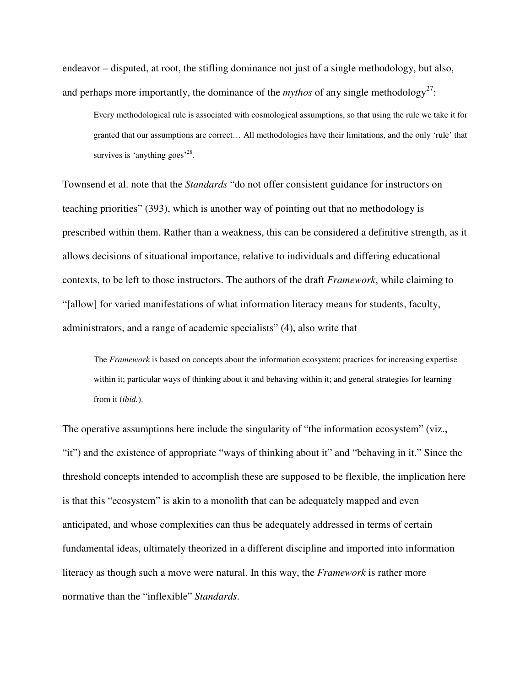endeavor – disputed, at root, the stifling dominance not just of a single methodology, but also, and perhaps more importantly, the dominance of the  $mythos$  of any single methodology<sup>27</sup>:

Every methodological rule is associated with cosmological assumptions, so that using the rule we take it for granted that our assumptions are correct… All methodologies have their limitations, and the only 'rule' that survives is 'anything goes'<sup>28</sup>.

Townsend et al. note that the *Standards* "do not offer consistent guidance for instructors on teaching priorities" (393), which is another way of pointing out that no methodology is prescribed within them. Rather than a weakness, this can be considered a definitive strength, as it allows decisions of situational importance, relative to individuals and differing educational contexts, to be left to those instructors. The authors of the draft *Framework*, while claiming to "[allow] for varied manifestations of what information literacy means for students, faculty, administrators, and a range of academic specialists" (4), also write that

The *Framework* is based on concepts about the information ecosystem; practices for increasing expertise within it; particular ways of thinking about it and behaving within it; and general strategies for learning from it (*ibid.*).

The operative assumptions here include the singularity of "the information ecosystem" (viz., "it") and the existence of appropriate "ways of thinking about it" and "behaving in it." Since the threshold concepts intended to accomplish these are supposed to be flexible, the implication here is that this "ecosystem" is akin to a monolith that can be adequately mapped and even anticipated, and whose complexities can thus be adequately addressed in terms of certain fundamental ideas, ultimately theorized in a different discipline and imported into information literacy as though such a move were natural. In this way, the *Framework* is rather more normative than the "inflexible" *Standards*.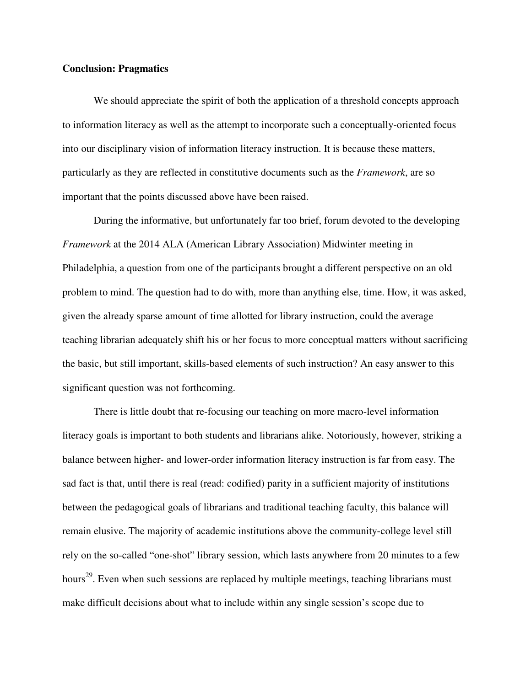# **Conclusion: Pragmatics**

We should appreciate the spirit of both the application of a threshold concepts approach to information literacy as well as the attempt to incorporate such a conceptually-oriented focus into our disciplinary vision of information literacy instruction. It is because these matters, particularly as they are reflected in constitutive documents such as the *Framework*, are so important that the points discussed above have been raised.

During the informative, but unfortunately far too brief, forum devoted to the developing *Framework* at the 2014 ALA (American Library Association) Midwinter meeting in Philadelphia, a question from one of the participants brought a different perspective on an old problem to mind. The question had to do with, more than anything else, time. How, it was asked, given the already sparse amount of time allotted for library instruction, could the average teaching librarian adequately shift his or her focus to more conceptual matters without sacrificing the basic, but still important, skills-based elements of such instruction? An easy answer to this significant question was not forthcoming.

There is little doubt that re-focusing our teaching on more macro-level information literacy goals is important to both students and librarians alike. Notoriously, however, striking a balance between higher- and lower-order information literacy instruction is far from easy. The sad fact is that, until there is real (read: codified) parity in a sufficient majority of institutions between the pedagogical goals of librarians and traditional teaching faculty, this balance will remain elusive. The majority of academic institutions above the community-college level still rely on the so-called "one-shot" library session, which lasts anywhere from 20 minutes to a few hours<sup>29</sup>. Even when such sessions are replaced by multiple meetings, teaching librarians must make difficult decisions about what to include within any single session's scope due to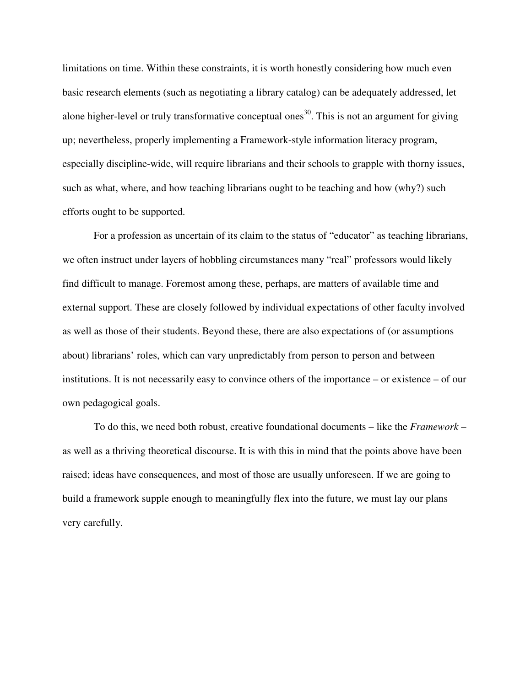limitations on time. Within these constraints, it is worth honestly considering how much even basic research elements (such as negotiating a library catalog) can be adequately addressed, let alone higher-level or truly transformative conceptual ones<sup>30</sup>. This is not an argument for giving up; nevertheless, properly implementing a Framework-style information literacy program, especially discipline-wide, will require librarians and their schools to grapple with thorny issues, such as what, where, and how teaching librarians ought to be teaching and how (why?) such efforts ought to be supported.

For a profession as uncertain of its claim to the status of "educator" as teaching librarians, we often instruct under layers of hobbling circumstances many "real" professors would likely find difficult to manage. Foremost among these, perhaps, are matters of available time and external support. These are closely followed by individual expectations of other faculty involved as well as those of their students. Beyond these, there are also expectations of (or assumptions about) librarians' roles, which can vary unpredictably from person to person and between institutions. It is not necessarily easy to convince others of the importance – or existence – of our own pedagogical goals.

To do this, we need both robust, creative foundational documents – like the *Framework* – as well as a thriving theoretical discourse. It is with this in mind that the points above have been raised; ideas have consequences, and most of those are usually unforeseen. If we are going to build a framework supple enough to meaningfully flex into the future, we must lay our plans very carefully.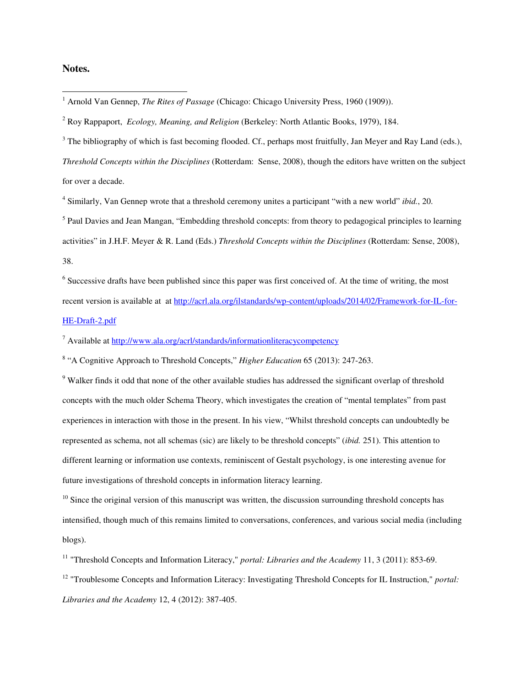# **Notes.**

 $3$  The bibliography of which is fast becoming flooded. Cf., perhaps most fruitfully, Jan Meyer and Ray Land (eds.),

*Threshold Concepts within the Disciplines* (Rotterdam: Sense, 2008), though the editors have written on the subject for over a decade.

4 Similarly, Van Gennep wrote that a threshold ceremony unites a participant "with a new world" *ibid.*, 20.

<sup>5</sup> Paul Davies and Jean Mangan, "Embedding threshold concepts: from theory to pedagogical principles to learning activities" in J.H.F. Meyer & R. Land (Eds.) *Threshold Concepts within the Disciplines* (Rotterdam: Sense, 2008), 38.

<sup>6</sup> Successive drafts have been published since this paper was first conceived of. At the time of writing, the most recent version is available at at http://acrl.ala.org/ilstandards/wp-content/uploads/2014/02/Framework-for-IL-for-HE-Draft-2.pdf

<sup>7</sup> Available at http://www.ala.org/acrl/standards/informationliteracycompetency

8 "A Cognitive Approach to Threshold Concepts," *Higher Education* 65 (2013): 247-263.

<sup>9</sup> Walker finds it odd that none of the other available studies has addressed the significant overlap of threshold concepts with the much older Schema Theory, which investigates the creation of "mental templates" from past experiences in interaction with those in the present. In his view, "Whilst threshold concepts can undoubtedly be represented as schema, not all schemas (sic) are likely to be threshold concepts" (*ibid.* 251). This attention to different learning or information use contexts, reminiscent of Gestalt psychology, is one interesting avenue for future investigations of threshold concepts in information literacy learning.

 $10$  Since the original version of this manuscript was written, the discussion surrounding threshold concepts has intensified, though much of this remains limited to conversations, conferences, and various social media (including blogs).

<sup>11</sup> "Threshold Concepts and Information Literacy," *portal: Libraries and the Academy* 11, 3 (2011): 853-69.

<sup>12</sup> "Troublesome Concepts and Information Literacy: Investigating Threshold Concepts for IL Instruction," *portal: Libraries and the Academy* 12, 4 (2012): 387-405.

 1 Arnold Van Gennep, *The Rites of Passage* (Chicago: Chicago University Press, 1960 (1909)).

<sup>2</sup> Roy Rappaport, *Ecology, Meaning, and Religion* (Berkeley: North Atlantic Books, 1979), 184.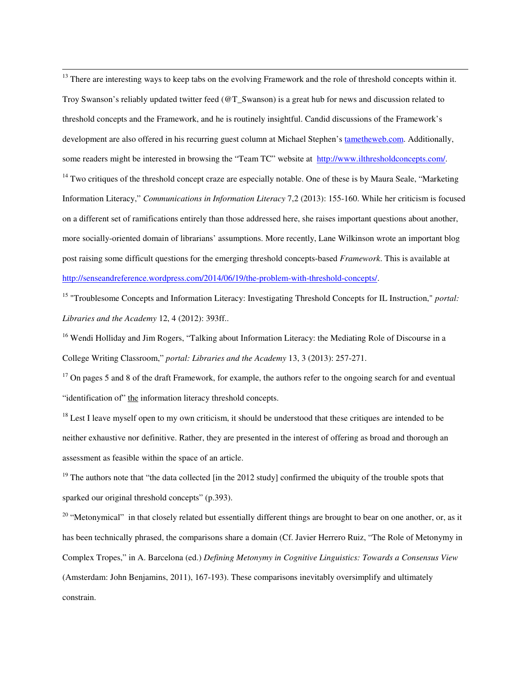$\overline{a}$ <sup>13</sup> There are interesting ways to keep tabs on the evolving Framework and the role of threshold concepts within it. Troy Swanson's reliably updated twitter feed (@T\_Swanson) is a great hub for news and discussion related to threshold concepts and the Framework, and he is routinely insightful. Candid discussions of the Framework's development are also offered in his recurring guest column at Michael Stephen's tametheweb.com. Additionally, some readers might be interested in browsing the "Team TC" website at http://www.ilthresholdconcepts.com/.  $14$  Two critiques of the threshold concept craze are especially notable. One of these is by Maura Seale, "Marketing Information Literacy," *Communications in Information Literacy* 7,2 (2013): 155-160. While her criticism is focused on a different set of ramifications entirely than those addressed here, she raises important questions about another, more socially-oriented domain of librarians' assumptions. More recently, Lane Wilkinson wrote an important blog post raising some difficult questions for the emerging threshold concepts-based *Framework*. This is available at http://senseandreference.wordpress.com/2014/06/19/the-problem-with-threshold-concepts/.

<sup>15</sup> "Troublesome Concepts and Information Literacy: Investigating Threshold Concepts for IL Instruction," *portal: Libraries and the Academy* 12, 4 (2012): 393ff..

<sup>16</sup> Wendi Holliday and Jim Rogers, "Talking about Information Literacy: the Mediating Role of Discourse in a College Writing Classroom," *portal: Libraries and the Academy* 13, 3 (2013): 257-271.

 $17$  On pages 5 and 8 of the draft Framework, for example, the authors refer to the ongoing search for and eventual "identification of" the information literacy threshold concepts.

 $18$  Lest I leave myself open to my own criticism, it should be understood that these critiques are intended to be neither exhaustive nor definitive. Rather, they are presented in the interest of offering as broad and thorough an assessment as feasible within the space of an article.

<sup>19</sup> The authors note that "the data collected [in the 2012 study] confirmed the ubiquity of the trouble spots that sparked our original threshold concepts" (p.393).

<sup>20</sup> "Metonymical" in that closely related but essentially different things are brought to bear on one another, or, as it has been technically phrased, the comparisons share a domain (Cf. Javier Herrero Ruiz, "The Role of Metonymy in Complex Tropes," in A. Barcelona (ed.) *Defining Metonymy in Cognitive Linguistics: Towards a Consensus View*  (Amsterdam: John Benjamins, 2011), 167-193). These comparisons inevitably oversimplify and ultimately constrain.